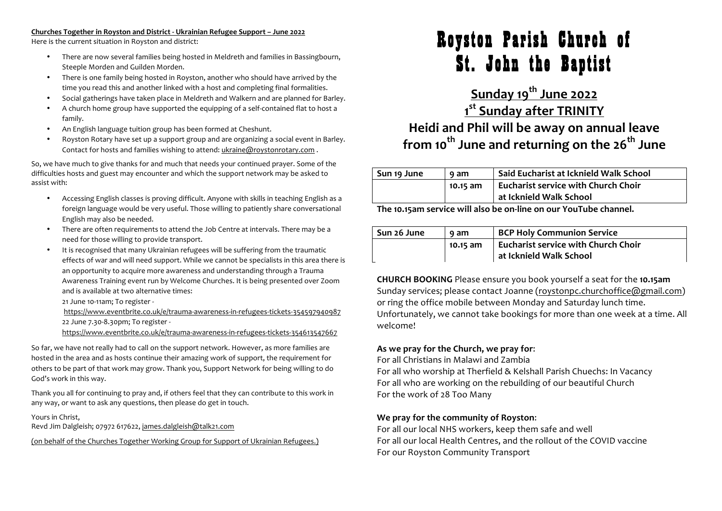#### **Churches Together in Royston and District - Ukrainian Refugee Support – June 2022**

Here is the current situation in Royston and district:

- There are now several families being hosted in Meldreth and families in Bassingbourn, Steeple Morden and Guilden Morden.
- There is one family being hosted in Royston, another who should have arrived by the time you read this and another linked with a host and completing final formalities.
- Social gatherings have taken place in Meldreth and Walkern and are planned for Barley.
- A church home group have supported the equipping of a self-contained flat to host a family.
- An English language tuition group has been formed at Cheshunt.
- Royston Rotary have set up a support group and are organizing a social event in Barley. Contact for hosts and families wishing to attend: ukraine@roystonrotary.com .

So, we have much to give thanks for and much that needs your continued prayer. Some of the difficulties hosts and guest may encounter and which the support network may be asked to assist with:

- Accessing English classes is proving difficult. Anyone with skills in teaching English as a foreign language would be very useful. Those willing to patiently share conversational English may also be needed.
- There are often requirements to attend the Job Centre at intervals. There may be a need for those willing to provide transport.
- It is recognised that many Ukrainian refugees will be suffering from the traumatic effects of war and will need support. While we cannot be specialists in this area there is an opportunity to acquire more awareness and understanding through a Trauma Awareness Training event run by Welcome Churches. It is being presented over Zoom and is available at two alternative times:

21 June 10-11am; To register -

https://www.eventbrite.co.uk/e/trauma-awareness-in-refugees-tickets-354597940987 22 June 7.30-8.30pm; To register -

https://www.eventbrite.co.uk/e/trauma-awareness-in-refugees-tickets-354613547667

So far, we have not really had to call on the support network. However, as more families are hosted in the area and as hosts continue their amazing work of support, the requirement for others to be part of that work may grow. Thank you, Support Network for being willing to do God's work in this way.

Thank you all for continuing to pray and, if others feel that they can contribute to this work in any way, or want to ask any questions, then please do get in touch.

Yours in Christ.

Revd Jim Dalgleish; 07972 617622, james.dalgleish@talk21.com

(on behalf of the Churches Together Working Group for Support of Ukrainian Refugees.)

# Royston Parish Church of St. John the Baptist

## **Sunday 19th June 2022 1 st Sunday after TRINITY Heidi and Phil will be away on annual leave from 10<sup>th</sup> June and returning on the 26<sup>th</sup> June**

| Sun 19 June | 9 am                                              | Said Eucharist at Icknield Walk School |
|-------------|---------------------------------------------------|----------------------------------------|
|             | Eucharist service with Church Choir<br>$10.15$ am |                                        |
|             |                                                   | at Icknield Walk School                |

The 10.15am service will also be on-line on our YouTube channel.

| Sun 26 June | 9 am     | <b>BCP Holy Communion Service</b>   |
|-------------|----------|-------------------------------------|
|             | 10.15 am | Eucharist service with Church Choir |
|             |          | at Icknield Walk School             |

**CHURCH BOOKING** Please ensure you book yourself a seat for the 10.15am Sunday services; please contact Joanne (roystonpc.churchoffice@gmail.com) or ring the office mobile between Monday and Saturday lunch time. Unfortunately, we cannot take bookings for more than one week at a time. All welcome!

#### As we pray for the Church, we pray for:

For all Christians in Malawi and Zambia For all who worship at Therfield & Kelshall Parish Chuechs: In Vacancy For all who are working on the rebuilding of our beautiful Church For the work of 28 Too Many

#### We pray for the community of Royston:

For all our local NHS workers, keep them safe and well For all our local Health Centres, and the rollout of the COVID vaccine For our Royston Community Transport